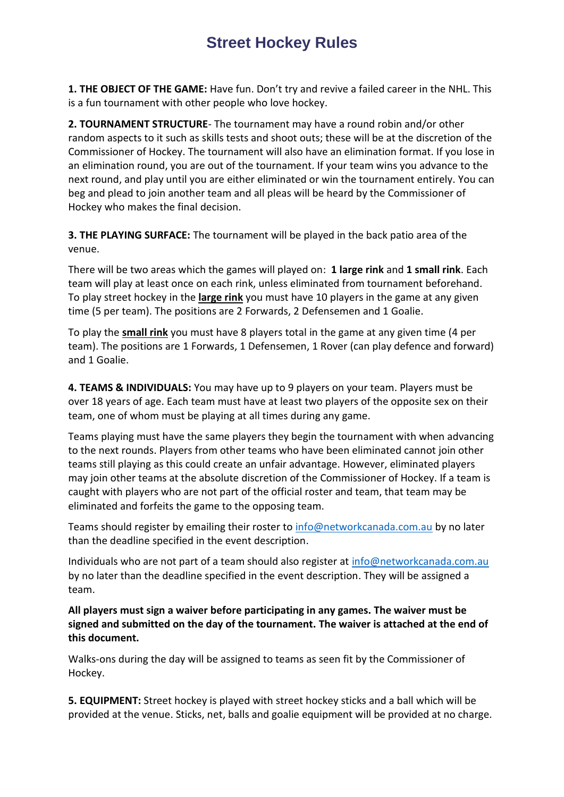**1. THE OBJECT OF THE GAME:** Have fun. Don't try and revive a failed career in the NHL. This is a fun tournament with other people who love hockey.

**2. TOURNAMENT STRUCTURE**- The tournament may have a round robin and/or other random aspects to it such as skills tests and shoot outs; these will be at the discretion of the Commissioner of Hockey. The tournament will also have an elimination format. If you lose in an elimination round, you are out of the tournament. If your team wins you advance to the next round, and play until you are either eliminated or win the tournament entirely. You can beg and plead to join another team and all pleas will be heard by the Commissioner of Hockey who makes the final decision.

**3. THE PLAYING SURFACE:** The tournament will be played in the back patio area of the venue.

There will be two areas which the games will played on: **1 large rink** and **1 small rink**. Each team will play at least once on each rink, unless eliminated from tournament beforehand. To play street hockey in the **large rink** you must have 10 players in the game at any given time (5 per team). The positions are 2 Forwards, 2 Defensemen and 1 Goalie.

To play the **small rink** you must have 8 players total in the game at any given time (4 per team). The positions are 1 Forwards, 1 Defensemen, 1 Rover (can play defence and forward) and 1 Goalie.

**4. TEAMS & INDIVIDUALS:** You may have up to 9 players on your team. Players must be over 18 years of age. Each team must have at least two players of the opposite sex on their team, one of whom must be playing at all times during any game.

Teams playing must have the same players they begin the tournament with when advancing to the next rounds. Players from other teams who have been eliminated cannot join other teams still playing as this could create an unfair advantage. However, eliminated players may join other teams at the absolute discretion of the Commissioner of Hockey. If a team is caught with players who are not part of the official roster and team, that team may be eliminated and forfeits the game to the opposing team.

Teams should register by emailing their roster to [info@networkcanada.com.au](mailto:info@networkcanada.com.au) by no later than the deadline specified in the event description.

Individuals who are not part of a team should also register at [info@networkcanada.com.au](mailto:info@networkcanada.com.au) by no later than the deadline specified in the event description. They will be assigned a team.

**All players must sign a waiver before participating in any games. The waiver must be signed and submitted on the day of the tournament. The waiver is attached at the end of this document.**

Walks-ons during the day will be assigned to teams as seen fit by the Commissioner of Hockey.

**5. EQUIPMENT:** Street hockey is played with [street hockey sticks](http://www.streethockeyking.com/playersticks.html) and a [ball](http://www.streethockeyking.com/sthoba.html) which will be provided at the venue. Sticks, net, balls and goalie equipment will be provided at no charge.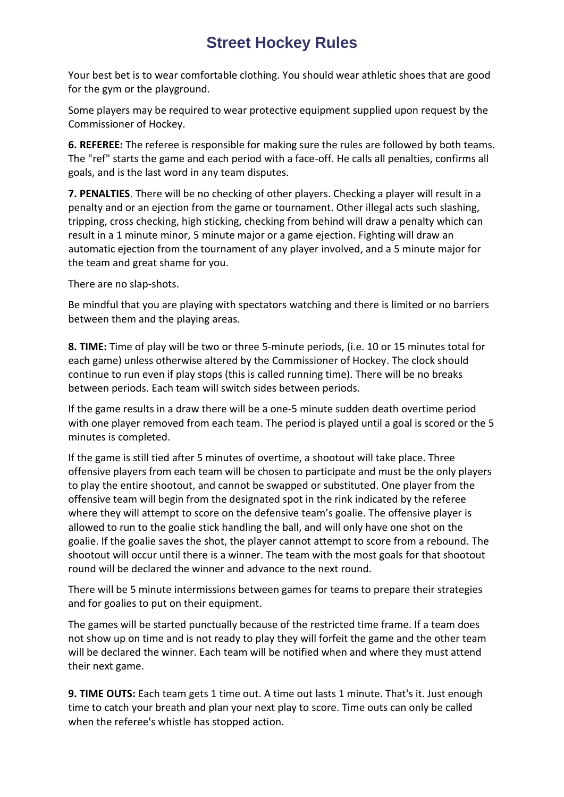Your best bet is to wear comfortable clothing. You should wear athletic shoes that are good for the gym or the playground.

Some players may be required to wear protective equipment supplied upon request by the Commissioner of Hockey.

**6. REFEREE:** The referee is responsible for making sure the rules are followed by both teams. The "ref" starts the game and each period with a face-off. He calls all penalties, confirms all goals, and is the last word in any team disputes.

**7. PENALTIES**. There will be no checking of other players. Checking a player will result in a penalty and or an ejection from the game or tournament. Other illegal acts such slashing, tripping, cross checking, high sticking, checking from behind will draw a penalty which can result in a 1 minute minor, 5 minute major or a game ejection. Fighting will draw an automatic ejection from the tournament of any player involved, and a 5 minute major for the team and great shame for you.

There are no slap-shots.

Be mindful that you are playing with spectators watching and there is limited or no barriers between them and the playing areas.

**8. TIME:** Time of play will be two or three 5-minute periods, (i.e. 10 or 15 minutes total for each game) unless otherwise altered by the Commissioner of Hockey. The clock should continue to run even if play stops (this is called running time). There will be no breaks between periods. Each team will switch sides between periods.

If the game results in a draw there will be a one-5 minute sudden death overtime period with one player removed from each team. The period is played until a goal is scored or the 5 minutes is completed.

If the game is still tied after 5 minutes of overtime, a shootout will take place. Three offensive players from each team will be chosen to participate and must be the only players to play the entire shootout, and cannot be swapped or substituted. One player from the offensive team will begin from the designated spot in the rink indicated by the referee where they will attempt to score on the defensive team's goalie. The offensive player is allowed to run to the goalie stick handling the ball, and will only have one shot on the goalie. If the goalie saves the shot, the player cannot attempt to score from a rebound. The shootout will occur until there is a winner. The team with the most goals for that shootout round will be declared the winner and advance to the next round.

There will be 5 minute intermissions between games for teams to prepare their strategies and for goalies to put on their equipment.

The games will be started punctually because of the restricted time frame. If a team does not show up on time and is not ready to play they will forfeit the game and the other team will be declared the winner. Each team will be notified when and where they must attend their next game.

**9. TIME OUTS:** Each team gets 1 time out. A time out lasts 1 minute. That's it. Just enough time to catch your breath and plan your next play to score. Time outs can only be called when the referee's whistle has stopped action.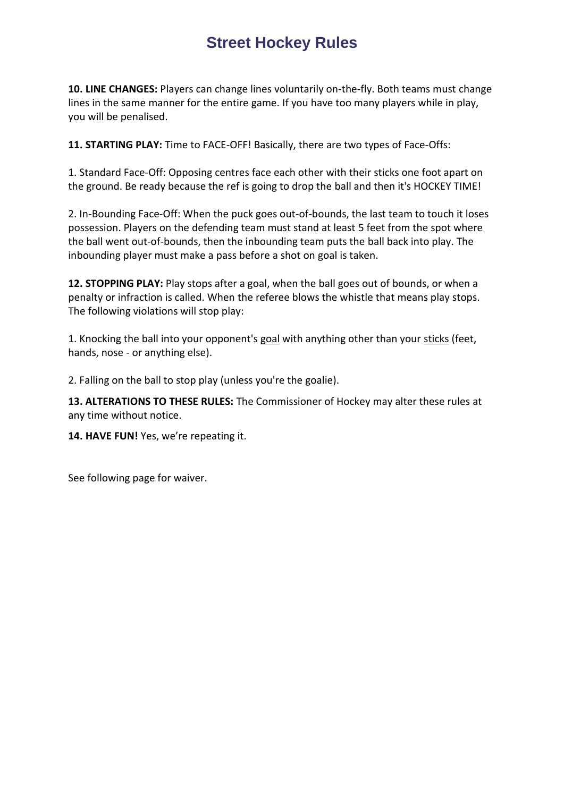**10. LINE CHANGES:** Players can change lines voluntarily on-the-fly. Both teams must change lines in the same manner for the entire game. If you have too many players while in play, you will be penalised.

**11. STARTING PLAY:** Time to FACE-OFF! Basically, there are two types of Face-Offs:

1. Standard Face-Off: Opposing centres face each other with their [sticks](http://www.streethockeyking.com/playersticks.html) one foot apart on the ground. Be ready because the ref is going to drop the ball and then it's HOCKEY TIME!

2. In-Bounding Face-Off: When the puck goes out-of-bounds, the last team to touch it loses possession. Players on the defending team must stand at least 5 feet from the spot where the ball went out-of-bounds, then the inbounding team puts the ball back into play. The inbounding player must make a pass before a shot on [goal](http://www.streethockeyking.com/sthogone.html) is taken.

**12. STOPPING PLAY:** Play stops after a goal, when the ball goes out of bounds, or when a penalty or infraction is called. When the referee blows the whistle that means play stops. The following violations will stop play:

1. Knocking the ball into your opponent's [goal](http://www.streethockeyking.com/sthogone.html) with anything other than your [sticks](http://www.streethockeyking.com/playersticks.html) (feet, hands, nose - or anything else).

2. Falling on the ball to stop play (unless you're the goalie).

**13. ALTERATIONS TO THESE RULES:** The Commissioner of Hockey may alter these rules at any time without notice.

**14. HAVE FUN!** Yes, we're repeating it.

See following page for waiver.